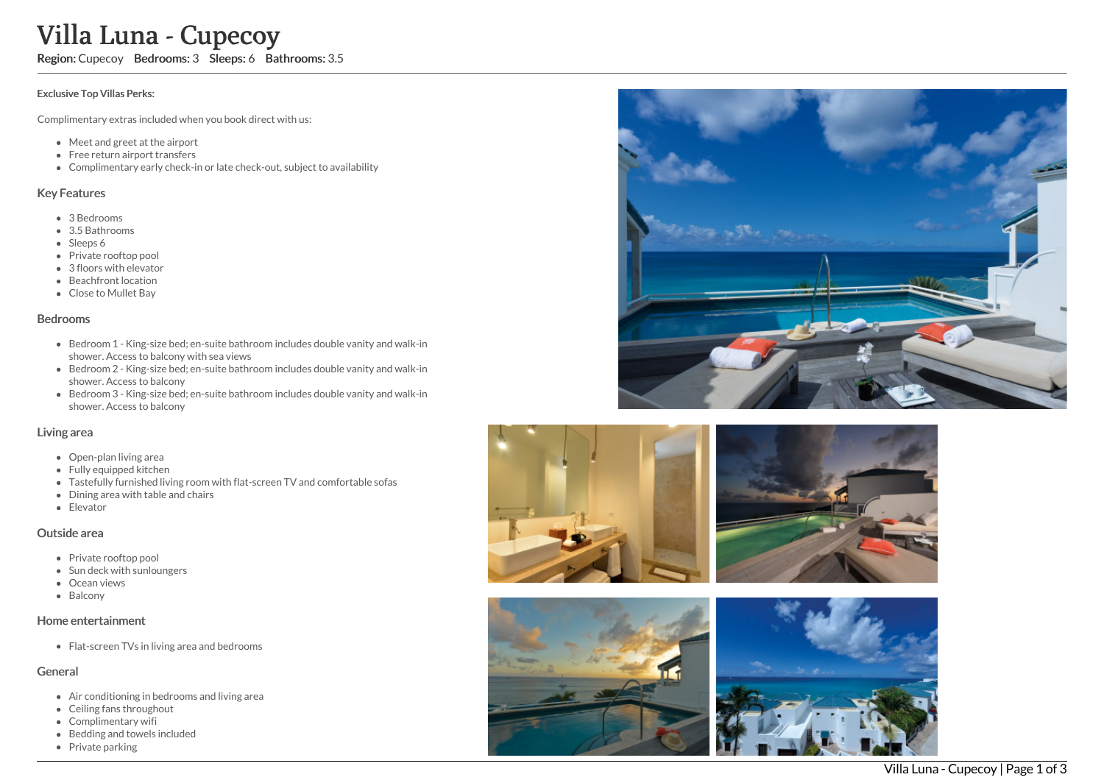Region: Cupecoy Bedrooms: 3 Sleeps: 6 Bathrooms: 3.5

#### Exclusive Top Villas Perks:

Complimentary extras included when you book direct with us:

- Meet and greet at the airport
- Free return airport transfers
- Complimentary early check-in or late check-out, subject to availability

### Key Features

- 3 B e d r o o m s
- 3.5 Bathrooms
- Sleeps 6
- Private rooftop pool
- 3 floors with elevato r
- Beachfront location
- Close to Mullet Bay

#### **Bedrooms**

- Bedroom 1 King-size bed; en-suite bathroom includes double vanity and walk-in shower. Access to balcony with sea views
- Bedroom 2 King-size bed; en-suite bathroom includes double vanity and walk-in s h o w e r. A c c e s s t o b alc o n y
- Bedroom 3 King-size bed; en-suite bathroom includes double vanity and walk-in s h o w e r. A c c e s s t o b alc o n y

### Living area

- Open-plan living area
- Fully equipped kitchen
- Tastefully furnished living room with flat-screen TV and comfortable sofas
- Dining area with table and chairs
- Elevator

### Outside area

- Private rooftop pool
- Sun deck with sunloungers
- Ocean views
- **Balcony**

## Home entertainment

Flat-screen TVs in living area and bedrooms

# General

- Air conditioning in bedrooms and living area
- Ceiling fans throughout
- Complimentary wifi
- Bedding and towels included
- Private parking









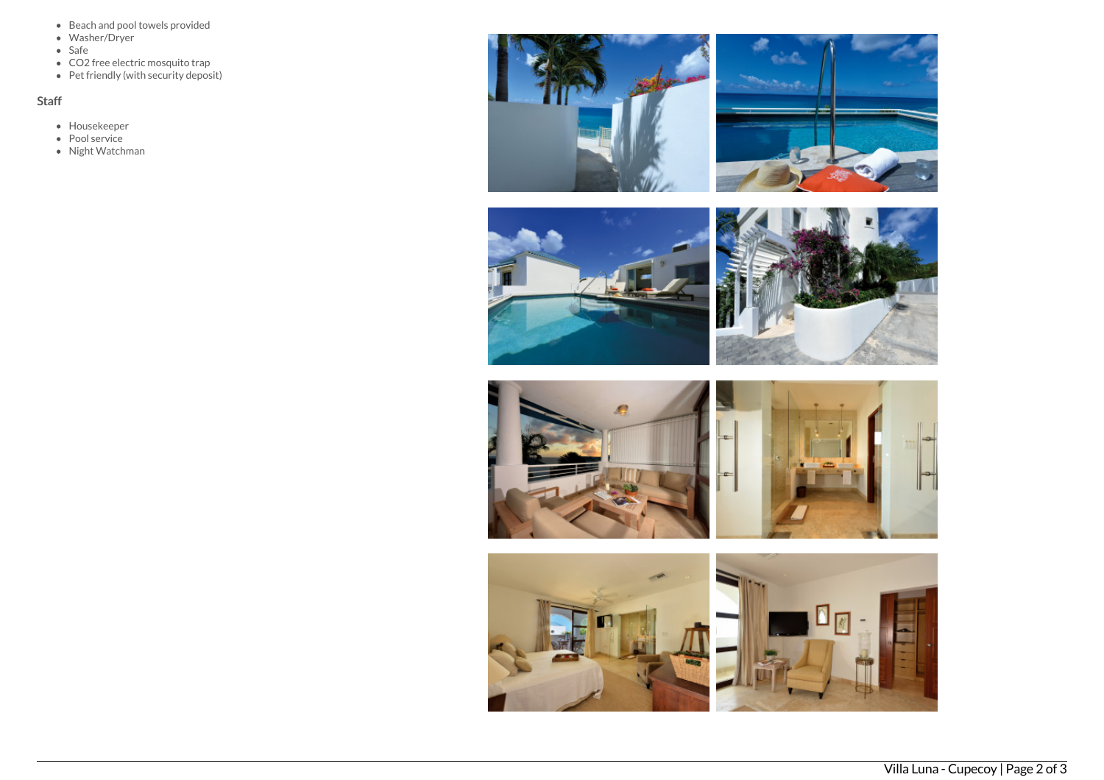- Beach and pool towels provided
- Washer/Dryer
- $\bullet$  Safe
- CO2 free electric mosquito trap
- Pet friendly (with security deposit)

# Staff

- Housekeeper
- Pool service
- Night Watchman